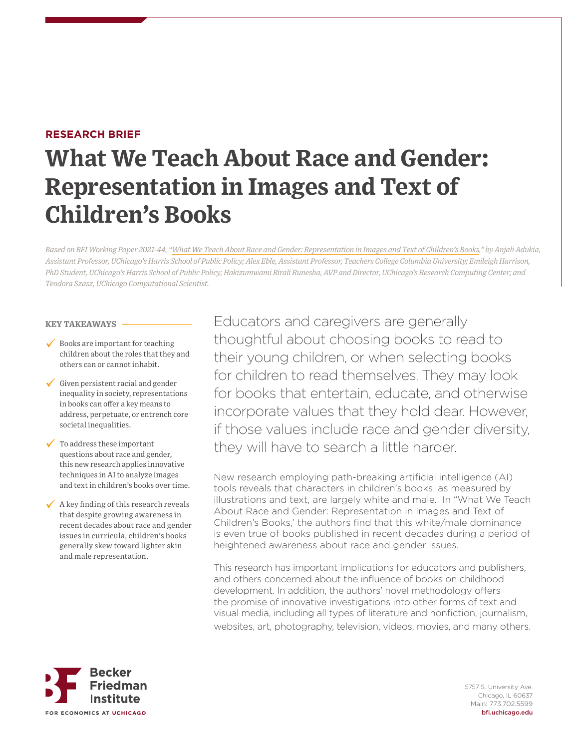# **RESEARCH BRIEF**

# **What We Teach About Race and Gender: Representation in Images and Text of Children's Books**

*Based on BFI Working Paper 2021-44, "What We Teach About Race and Gender: Representation in Images and Text of Children's Books," by Anjali Adukia, Assistant Professor, UChicago's Harris School of Public Policy; Alex Eble, Assistant Professor, Teachers College Columbia University; Emileigh Harrison, PhD Student, UChicago's Harris School of Public Policy; Hakizumwami Birali Runesha, AVP and Director, UChicago's Research Computing Center; and Teodora Szasz, UChicago Computational Scientist.*

### **KEY TAKEAWAYS**

- $\checkmark$  Books are important for teaching children about the roles that they and others can or cannot inhabit.
- $\checkmark$  Given persistent racial and gender inequality in society, representations in books can offer a key means to address, perpetuate, or entrench core societal inequalities.
- To address these important questions about race and gender, this new research applies innovative techniques in AI to analyze images and text in children's books over time.
- $\sqrt{\phantom{a}}$  A key finding of this research reveals that despite growing awareness in recent decades about race and gender issues in curricula, children's books generally skew toward lighter skin and male representation.

Educators and caregivers are generally thoughtful about choosing books to read to their young children, or when selecting books for children to read themselves. They may look for books that entertain, educate, and otherwise incorporate values that they hold dear. However, if those values include race and gender diversity, they will have to search a little harder.

New research employing path-breaking artificial intelligence (AI) tools reveals that characters in children's books, as measured by illustrations and text, are largely white and male. In "What We Teach About Race and Gender: Representation in Images and Text of Children's Books,' the authors find that this white/male dominance is even true of books published in recent decades during a period of heightened awareness about race and gender issues.

This research has important implications for educators and publishers, and others concerned about the influence of books on childhood development. In addition, the authors' novel methodology offers the promise of innovative investigations into other forms of text and visual media, including all types of literature and nonfiction, journalism, websites, art, photography, television, videos, movies, and many others.



5757 S. University Ave. Chicago, IL 60637 Main: 773.702.5599 bfi.uchicago.edu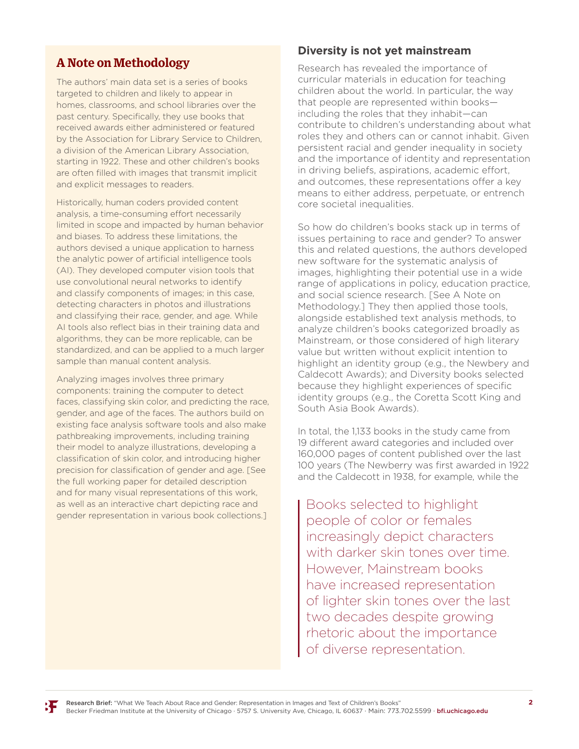# **A Note on Methodology**

The authors' main data set is a series of books targeted to children and likely to appear in homes, classrooms, and school libraries over the past century. Specifically, they use books that received awards either administered or featured by the Association for Library Service to Children, a division of the American Library Association, starting in 1922. These and other children's books are often filled with images that transmit implicit and explicit messages to readers.

Historically, human coders provided content analysis, a time-consuming effort necessarily limited in scope and impacted by human behavior and biases. To address these limitations, the authors devised a unique application to harness the analytic power of artificial intelligence tools (AI). They developed computer vision tools that use convolutional neural networks to identify and classify components of images; in this case, detecting characters in photos and illustrations and classifying their race, gender, and age. While AI tools also reflect bias in their training data and algorithms, they can be more replicable, can be standardized, and can be applied to a much larger sample than manual content analysis.

Analyzing images involves three primary components: training the computer to detect faces, classifying skin color, and predicting the race, gender, and age of the faces. The authors build on existing face analysis software tools and also make pathbreaking improvements, including training their model to analyze illustrations, developing a classification of skin color, and introducing higher precision for classification of gender and age. [See the full working paper for detailed description and for many visual representations of this work, as well as an interactive chart depicting race and gender representation in various book collections.]

# **Diversity is not yet mainstream**

Research has revealed the importance of curricular materials in education for teaching children about the world. In particular, the way that people are represented within books including the roles that they inhabit—can contribute to children's understanding about what roles they and others can or cannot inhabit. Given persistent racial and gender inequality in society and the importance of identity and representation in driving beliefs, aspirations, academic effort, and outcomes, these representations offer a key means to either address, perpetuate, or entrench core societal inequalities.

So how do children's books stack up in terms of issues pertaining to race and gender? To answer this and related questions, the authors developed new software for the systematic analysis of images, highlighting their potential use in a wide range of applications in policy, education practice, and social science research. [See A Note on Methodology.] They then applied those tools, alongside established text analysis methods, to analyze children's books categorized broadly as Mainstream, or those considered of high literary value but written without explicit intention to highlight an identity group (e.g., the Newbery and Caldecott Awards); and Diversity books selected because they highlight experiences of specific identity groups (e.g., the Coretta Scott King and South Asia Book Awards).

In total, the 1,133 books in the study came from 19 different award categories and included over 160,000 pages of content published over the last 100 years (The Newberry was first awarded in 1922 and the Caldecott in 1938, for example, while the

Books selected to highlight people of color or females increasingly depict characters with darker skin tones over time. However, Mainstream books have increased representation of lighter skin tones over the last two decades despite growing rhetoric about the importance of diverse representation.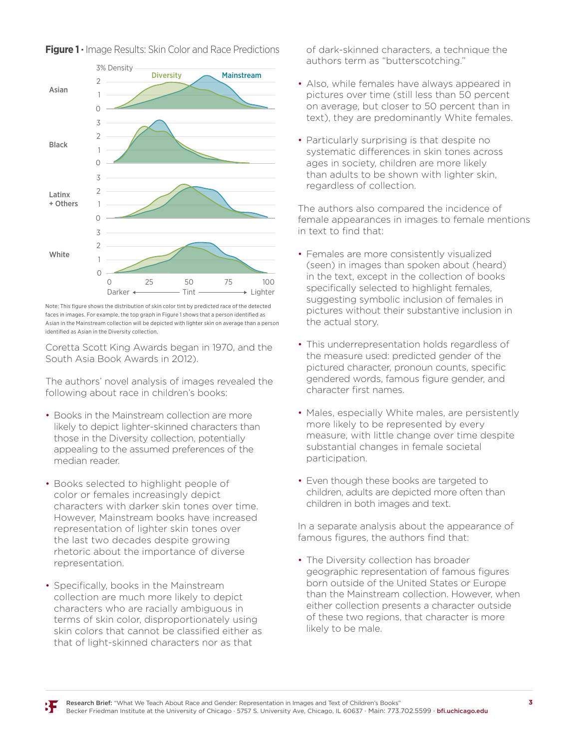

**Figure 1 ·** Image Results: Skin Color and Race Predictions **Image Results: Skin Color and Race Predictions**

faces in images. For example, the top graph in Figure 1 shows that a person identified as Asian in the Mainstream collection will be depicted with lighter skin on average than a person Note: This figure shows the distribution of skin color tint by predicted race of the detected identified as Asian in the Diversity collection.

Coretta Scott King Awards began in 1970, and the South Asia Book Awards in 2012).

The authors' novel analysis of images revealed the following about race in children's books:

- Books in the Mainstream collection are more likely to depict lighter-skinned characters than those in the Diversity collection, potentially appealing to the assumed preferences of the median reader.
- Books selected to highlight people of color or females increasingly depict characters with darker skin tones over time. However, Mainstream books have increased representation of lighter skin tones over the last two decades despite growing rhetoric about the importance of diverse representation.
- Specifically, books in the Mainstream collection are much more likely to depict characters who are racially ambiguous in terms of skin color, disproportionately using skin colors that cannot be classified either as that of light-skinned characters nor as that

of dark-skinned characters, a technique the authors term as "butterscotching."

- Also, while females have always appeared in pictures over time (still less than 50 percent on average, but closer to 50 percent than in text), they are predominantly White females.
- Particularly surprising is that despite no systematic differences in skin tones across ages in society, children are more likely than adults to be shown with lighter skin, regardless of collection.

The authors also compared the incidence of female appearances in images to female mentions in text to find that:

- Females are more consistently visualized (seen) in images than spoken about (heard) in the text, except in the collection of books specifically selected to highlight females, suggesting symbolic inclusion of females in pictures without their substantive inclusion in the actual story.
- This underrepresentation holds regardless of the measure used: predicted gender of the pictured character, pronoun counts, specific gendered words, famous figure gender, and character first names.
- Males, especially White males, are persistently more likely to be represented by every measure, with little change over time despite substantial changes in female societal participation.
- Even though these books are targeted to children, adults are depicted more often than children in both images and text.

In a separate analysis about the appearance of famous figures, the authors find that:

• The Diversity collection has broader geographic representation of famous figures born outside of the United States or Europe than the Mainstream collection. However, when either collection presents a character outside of these two regions, that character is more likely to be male.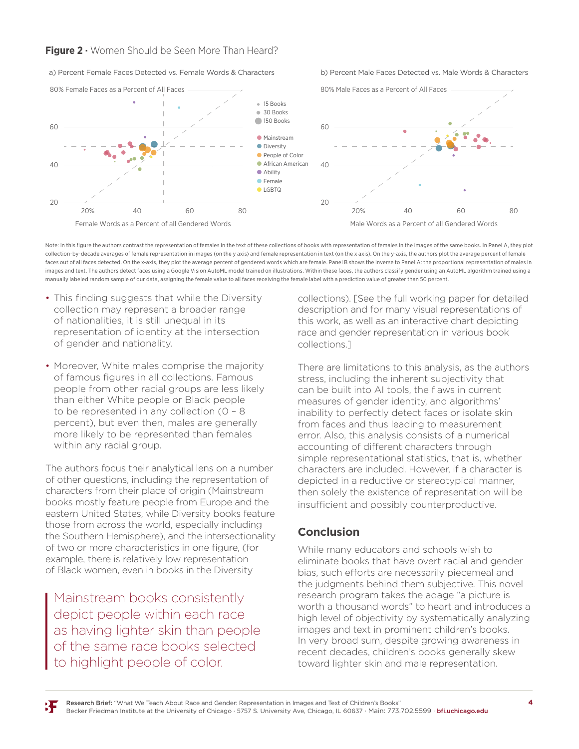# **Figure 2 ·** Women Should be Seen More Than Heard? **Women Should be Seen More Than Heard?**

#### a) Percent Female Faces Detected vs. Female Words & Characters b) Percent Male Faces Detected vs. Male Words & Characters



Note: In this figure the authors contrast the representation of females in the text of these collections of books with representation of females in the images of the same books. In Panel A, they plot collection-by-decade averages of female representation in images (on the y axis) and female representation in text (on the x axis). On the y-axis, the authors plot the average percent of female representation in images (on meetion by accure trendges or remain representation in images (on the y-axis) and remain representation in text (on the x axis). On the y-axis, the dutings faces out of all faces detected. On the x-axis, they plot the average percent of gendered words which are female. Panel B shows the inverse to Panel A: the proportional representation of males in images and text. The authors detect faces using a Google Vision AutoML model trained on illustrations. Within these faces, the authors classify gender using an AutoML algorithm trained using a manually labeled random sample of our data, assigning the female value to all faces receiving the female label with a prediction value of greater than 50 percent.

- This finding suggests that while the Diversity collection may represent a broader range of nationalities, it is still unequal in its representation of identity at the intersection of gender and nationality.
- Moreover, White males comprise the majority of famous figures in all collections. Famous people from other racial groups are less likely than either White people or Black people to be represented in any collection (0 – 8 percent), but even then, males are generally more likely to be represented than females within any racial group.

The authors focus their analytical lens on a number of other questions, including the representation of characters from their place of origin (Mainstream books mostly feature people from Europe and the eastern United States, while Diversity books feature those from across the world, especially including the Southern Hemisphere), and the intersectionality of two or more characteristics in one figure, (for example, there is relatively low representation of Black women, even in books in the Diversity

Mainstream books consistently depict people within each race as having lighter skin than people of the same race books selected to highlight people of color.

collections). [See the full working paper for detailed description and for many visual representations of this work, as well as an interactive chart depicting race and gender representation in various book collections.]

There are limitations to this analysis, as the authors stress, including the inherent subjectivity that can be built into AI tools, the flaws in current measures of gender identity, and algorithms' inability to perfectly detect faces or isolate skin from faces and thus leading to measurement error. Also, this analysis consists of a numerical accounting of different characters through simple representational statistics, that is, whether characters are included. However, if a character is depicted in a reductive or stereotypical manner, then solely the existence of representation will be insufficient and possibly counterproductive.

# **Conclusion**

While many educators and schools wish to eliminate books that have overt racial and gender bias, such efforts are necessarily piecemeal and the judgments behind them subjective. This novel research program takes the adage "a picture is worth a thousand words" to heart and introduces a high level of objectivity by systematically analyzing images and text in prominent children's books. In very broad sum, despite growing awareness in recent decades, children's books generally skew toward lighter skin and male representation.